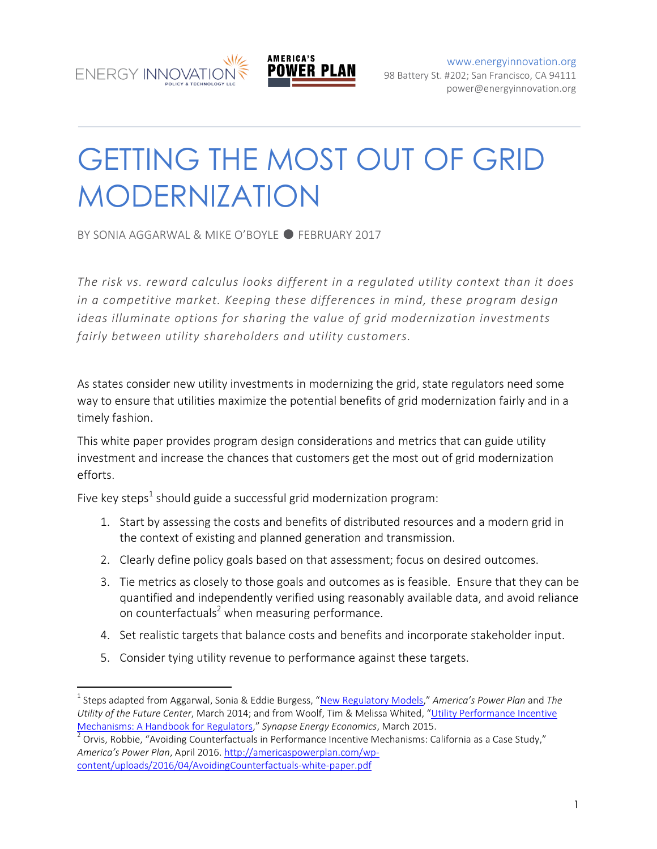

[www.energyinnovation.org](http://www.energyinnovation.org/) 98 Battery St. #202; San Francisco, CA 94111 power@energyinnovation.org

GETTING THE MOST OUT OF GRID MODERNIZATION

BY SONIA AGGARWAL & MIKE O'BOYLE · FEBRUARY 2017

*The risk vs. reward calculus looks different in a regulated utility context than it does in a competitive market. Keeping these differences in mind, these program design ideas illuminate options for sharing the value of grid modernization investments fairly between utility shareholders and utility customers.* 

As states consider new utility investments in modernizing the grid, state regulators need some way to ensure that utilities maximize the potential benefits of grid modernization fairly and in a timely fashion.

This white paper provides program design considerations and metrics that can guide utility investment and increase the chances that customers get the most out of grid modernization efforts.

Five key steps $^1$  should guide a successful grid modernization program:

- 1. Start by assessing the costs and benefits of distributed resources and a modern grid in the context of existing and planned generation and transmission.
- 2. Clearly define policy goals based on that assessment; focus on desired outcomes.
- 3. Tie metrics as closely to those goals and outcomes as is feasible. Ensure that they can be quantified and independently verified using reasonably available data, and avoid reliance on counterfactuals<sup>2</sup> when measuring performance.
- 4. Set realistic targets that balance costs and benefits and incorporate stakeholder input.
- 5. Consider tying utility revenue to performance against these targets.

 $\overline{a}$ 

<sup>&</sup>lt;sup>1</sup> Steps adapted from Aggarwal, Sonia & Eddie Burgess, "<u>[New Regulatory Models](http://energyinnovation.org/wp-content/uploads/2014/06/SPSC-CREPC_NewRegulatoryModels.pdf)</u>," America's Power Plan and The *Utility of the Future Center*, March 2014; and from Woolf, Tim & Melissa Whited, "[Utility Performance Incentive](http://www.synapse-energy.com/sites/default/files/Utility%20Performance%20Incentive%20Mechanisms%2014-098_0.pdf)  [Mechanisms: A Handbook for Regulators](http://www.synapse-energy.com/sites/default/files/Utility%20Performance%20Incentive%20Mechanisms%2014-098_0.pdf)," *Synapse Energy Economics*, March 2015.

 $^2$  Orvis, Robbie, "Avoiding Counterfactuals in Performance Incentive Mechanisms: California as a Case Study," *America's Power Plan*, April 2016. [http://americaspowerplan.com/wp](http://americaspowerplan.com/wp-content/uploads/2016/04/AvoidingCounterfactuals-white-paper.pdf)[content/uploads/2016/04/AvoidingCounterfactuals-white-paper.pdf](http://americaspowerplan.com/wp-content/uploads/2016/04/AvoidingCounterfactuals-white-paper.pdf)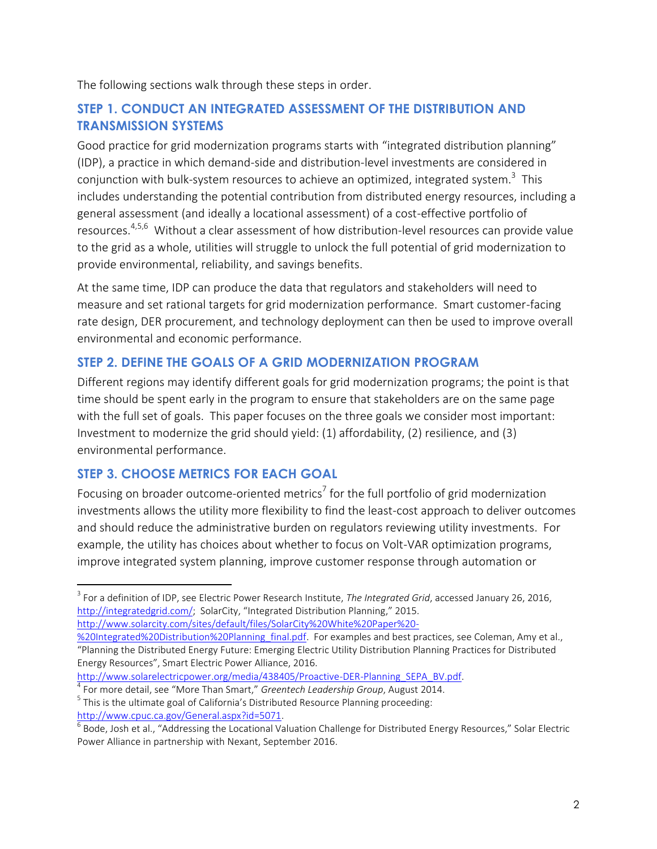The following sections walk through these steps in order.

## **STEP 1. CONDUCT AN INTEGRATED ASSESSMENT OF THE DISTRIBUTION AND TRANSMISSION SYSTEMS**

Good practice for grid modernization programs starts with "integrated distribution planning" (IDP), a practice in which demand-side and distribution-level investments are considered in conjunction with bulk-system resources to achieve an optimized, integrated system.<sup>3</sup> This includes understanding the potential contribution from distributed energy resources, including a general assessment (and ideally a locational assessment) of a cost-effective portfolio of resources.<sup>4,5,6</sup> Without a clear assessment of how distribution-level resources can provide value to the grid as a whole, utilities will struggle to unlock the full potential of grid modernization to provide environmental, reliability, and savings benefits.

At the same time, IDP can produce the data that regulators and stakeholders will need to measure and set rational targets for grid modernization performance. Smart customer-facing rate design, DER procurement, and technology deployment can then be used to improve overall environmental and economic performance.

## **STEP 2. DEFINE THE GOALS OF A GRID MODERNIZATION PROGRAM**

Different regions may identify different goals for grid modernization programs; the point is that time should be spent early in the program to ensure that stakeholders are on the same page with the full set of goals. This paper focuses on the three goals we consider most important: Investment to modernize the grid should yield: (1) affordability, (2) resilience, and (3) environmental performance.

## **STEP 3. CHOOSE METRICS FOR EACH GOAL**

Focusing on broader outcome-oriented metrics<sup>7</sup> for the full portfolio of grid modernization investments allows the utility more flexibility to find the least-cost approach to deliver outcomes and should reduce the administrative burden on regulators reviewing utility investments. For example, the utility has choices about whether to focus on Volt-VAR optimization programs, improve integrated system planning, improve customer response through automation or

 $\overline{a}$ 3 For a definition of IDP, see Electric Power Research Institute, *The Integrated Grid*, accessed January 26, 2016, [http://integratedgrid.com/;](http://integratedgrid.com/) SolarCity, "Integrated Distribution Planning," 2015. [http://www.solarcity.com/sites/default/files/SolarCity%20White%20Paper%20-](http://www.solarcity.com/sites/default/files/SolarCity%20White%20Paper%20-%20Integrated%20Distribution%20Planning_final.pdf)

[http://www.solarelectricpower.org/media/438405/Proactive-DER-Planning\\_SEPA\\_BV.pdf.](http://www.solarelectricpower.org/media/438405/Proactive-DER-Planning_SEPA_BV.pdf)

4 For more detail, see "More Than Smart," *Greentech Leadership Group*, August 2014. <sup>5</sup> This is the ultimate goal of California's Distributed Resource Planning proceeding: [http://www.cpuc.ca.gov/General.aspx?id=5071.](http://www.cpuc.ca.gov/General.aspx?id=5071)

[<sup>%20</sup>Integrated%20Distribution%20Planning\\_final.pdf.](http://www.solarcity.com/sites/default/files/SolarCity%20White%20Paper%20-%20Integrated%20Distribution%20Planning_final.pdf) For examples and best practices, see Coleman, Amy et al., "Planning the Distributed Energy Future: Emerging Electric Utility Distribution Planning Practices for Distributed Energy Resources", Smart Electric Power Alliance, 2016.

 $^6$  Bode, Josh et al., "Addressing the Locational Valuation Challenge for Distributed Energy Resources," Solar Electric Power Alliance in partnership with Nexant, September 2016.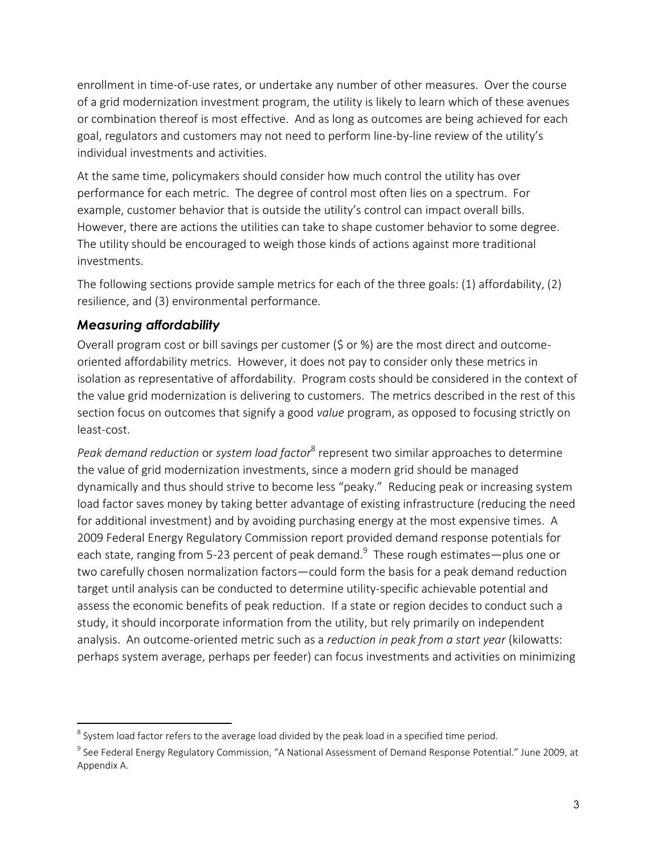enrollment in time-of-use rates, or undertake any number of other measures. Over the course of a grid modernization investment program, the utility is likely to learn which of these avenues or combination thereof is most effective. And as long as outcomes are being achieved for each goal, regulators and customers may not need to perform line-by-line review of the utility's individual investments and activities.

At the same time, policymakers should consider how much control the utility has over performance for each metric. The degree of control most often lies on a spectrum. For example, customer behavior that is outside the utility's control can impact overall bills. However, there are actions the utilities can take to shape customer behavior to some degree. The utility should be encouraged to weigh those kinds of actions against more traditional investments.

The following sections provide sample metrics for each of the three goals: (1) affordability, (2) resilience, and (3) environmental performance.

#### *Measuring affordability*

 $\overline{a}$ 

Overall program cost or bill savings per customer (\$ or %) are the most direct and outcomeoriented affordability metrics. However, it does not pay to consider only these metrics in isolation as representative of affordability. Program costs should be considered in the context of the value grid modernization is delivering to customers. The metrics described in the rest of this section focus on outcomes that signify a good *value* program, as opposed to focusing strictly on least-cost.

Peak demand reduction or *system load factor*<sup>8</sup> represent two similar approaches to determine the value of grid modernization investments, since a modern grid should be managed dynamically and thus should strive to become less "peaky." Reducing peak or increasing system load factor saves money by taking better advantage of existing infrastructure (reducing the need for additional investment) and by avoiding purchasing energy at the most expensive times. A 2009 Federal Energy Regulatory Commission report provided demand response potentials for each state, ranging from 5-23 percent of peak demand.<sup>9</sup> These rough estimates—plus one or two carefully chosen normalization factors—could form the basis for a peak demand reduction target until analysis can be conducted to determine utility-specific achievable potential and assess the economic benefits of peak reduction. If a state or region decides to conduct such a study, it should incorporate information from the utility, but rely primarily on independent analysis. An outcome-oriented metric such as a *reduction in peak from a start year* (kilowatts: perhaps system average, perhaps per feeder) can focus investments and activities on minimizing

 $^8$  System load factor refers to the average load divided by the peak load in a specified time period.

 $^9$  See Federal Energy Regulatory Commission, "A National Assessment of Demand Response Potential." June 2009, at Appendix A.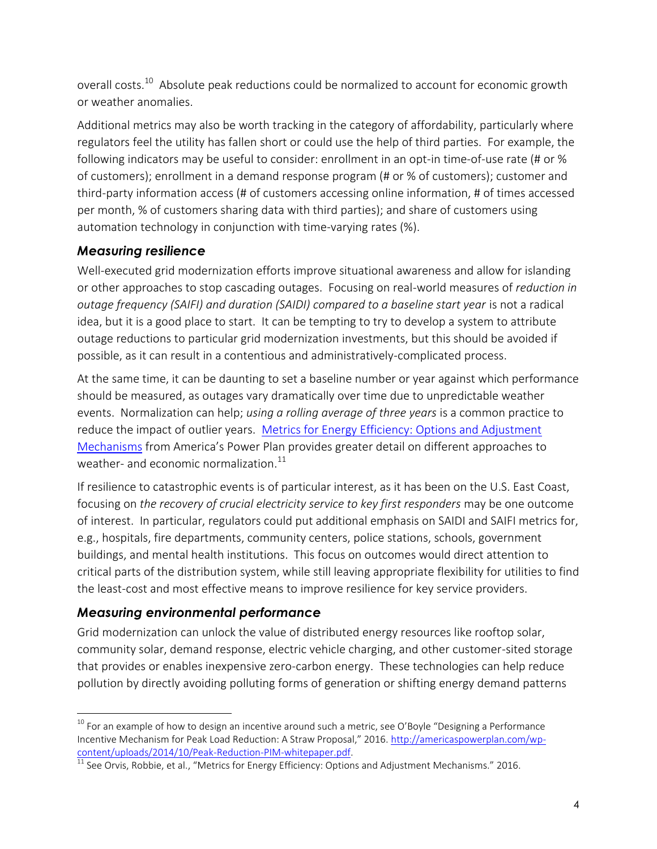overall costs.<sup>10</sup> Absolute peak reductions could be normalized to account for economic growth or weather anomalies.

Additional metrics may also be worth tracking in the category of affordability, particularly where regulators feel the utility has fallen short or could use the help of third parties. For example, the following indicators may be useful to consider: enrollment in an opt-in time-of-use rate (# or % of customers); enrollment in a demand response program (# or % of customers); customer and third-party information access (# of customers accessing online information, # of times accessed per month, % of customers sharing data with third parties); and share of customers using automation technology in conjunction with time-varying rates (%).

#### *Measuring resilience*

Well-executed grid modernization efforts improve situational awareness and allow for islanding or other approaches to stop cascading outages. Focusing on real-world measures of *reduction in outage frequency (SAIFI) and duration (SAIDI) compared to a baseline start year* is not a radical idea, but it is a good place to start. It can be tempting to try to develop a system to attribute outage reductions to particular grid modernization investments, but this should be avoided if possible, as it can result in a contentious and administratively-complicated process.

At the same time, it can be daunting to set a baseline number or year against which performance should be measured, as outages vary dramatically over time due to unpredictable weather events. Normalization can help; *using a rolling average of three years* is a common practice to reduce the impact of outlier years. Metrics for Energy Efficiency: Options and Adjustment [Mechanisms](http://americaspowerplan.com/wp-content/uploads/2016/04/EEMetricDesign-white-paper.pdf) from America's Power Plan provides greater detail on different approaches to weather- and economic normalization. $^{11}$ 

If resilience to catastrophic events is of particular interest, as it has been on the U.S. East Coast, focusing on *the recovery of crucial electricity service to key first responders* may be one outcome of interest. In particular, regulators could put additional emphasis on SAIDI and SAIFI metrics for, e.g., hospitals, fire departments, community centers, police stations, schools, government buildings, and mental health institutions. This focus on outcomes would direct attention to critical parts of the distribution system, while still leaving appropriate flexibility for utilities to find the least-cost and most effective means to improve resilience for key service providers.

## *Measuring environmental performance*

Grid modernization can unlock the value of distributed energy resources like rooftop solar, community solar, demand response, electric vehicle charging, and other customer-sited storage that provides or enables inexpensive zero-carbon energy. These technologies can help reduce pollution by directly avoiding polluting forms of generation or shifting energy demand patterns

 $\overline{a}$  $^{10}$  For an example of how to design an incentive around such a metric, see O'Boyle "Designing a Performance Incentive Mechanism for Peak Load Reduction: A Straw Proposal," 2016. [http://americaspowerplan.com/wp](http://americaspowerplan.com/wp-content/uploads/2014/10/Peak-Reduction-PIM-whitepaper.pdf)[content/uploads/2014/10/Peak-Reduction-PIM-whitepaper.pdf.](http://americaspowerplan.com/wp-content/uploads/2014/10/Peak-Reduction-PIM-whitepaper.pdf)

<sup>11</sup> See Orvis, Robbie, et al., "Metrics for Energy Efficiency: Options and Adjustment Mechanisms." 2016.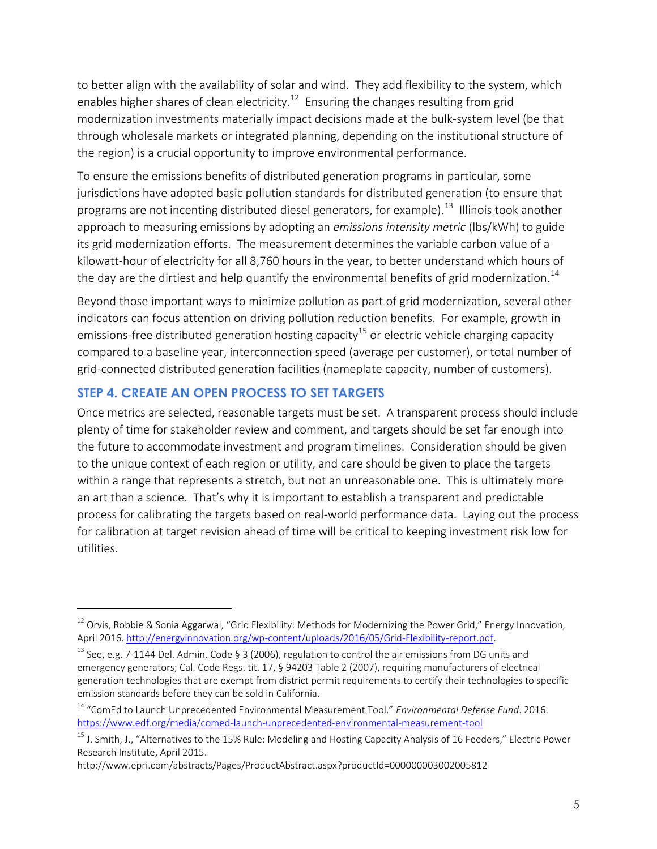to better align with the availability of solar and wind. They add flexibility to the system, which enables higher shares of clean electricity. $^{12}$  Ensuring the changes resulting from grid modernization investments materially impact decisions made at the bulk-system level (be that through wholesale markets or integrated planning, depending on the institutional structure of the region) is a crucial opportunity to improve environmental performance.

To ensure the emissions benefits of distributed generation programs in particular, some jurisdictions have adopted basic pollution standards for distributed generation (to ensure that programs are not incenting distributed diesel generators, for example).<sup>13</sup> Illinois took another approach to measuring emissions by adopting an *emissions intensity metric* (lbs/kWh) to guide its grid modernization efforts. The measurement determines the variable carbon value of a kilowatt-hour of electricity for all 8,760 hours in the year, to better understand which hours of the day are the dirtiest and help quantify the environmental benefits of grid modernization.<sup>14</sup>

Beyond those important ways to minimize pollution as part of grid modernization, several other indicators can focus attention on driving pollution reduction benefits. For example, growth in emissions-free distributed generation hosting capacity<sup>15</sup> or electric vehicle charging capacity compared to a baseline year, interconnection speed (average per customer), or total number of grid-connected distributed generation facilities (nameplate capacity, number of customers).

#### **STEP 4. CREATE AN OPEN PROCESS TO SET TARGETS**

 $\overline{a}$ 

Once metrics are selected, reasonable targets must be set. A transparent process should include plenty of time for stakeholder review and comment, and targets should be set far enough into the future to accommodate investment and program timelines. Consideration should be given to the unique context of each region or utility, and care should be given to place the targets within a range that represents a stretch, but not an unreasonable one. This is ultimately more an art than a science. That's why it is important to establish a transparent and predictable process for calibrating the targets based on real-world performance data. Laying out the process for calibration at target revision ahead of time will be critical to keeping investment risk low for utilities.

http://www.epri.com/abstracts/Pages/ProductAbstract.aspx?productId=000000003002005812

 $12$  Orvis, Robbie & Sonia Aggarwal, "Grid Flexibility: Methods for Modernizing the Power Grid," Energy Innovation, April 2016. [http://energyinnovation.org/wp-content/uploads/2016/05/Grid-Flexibility-report.pdf.](http://energyinnovation.org/wp-content/uploads/2016/05/Grid-Flexibility-report.pdf)

<sup>&</sup>lt;sup>13</sup> See, e.g. 7-1144 Del. Admin. Code § 3 (2006), regulation to control the air emissions from DG units and emergency generators; Cal. Code Regs. tit. 17, § 94203 Table 2 (2007), requiring manufacturers of electrical generation technologies that are exempt from district permit requirements to certify their technologies to specific emission standards before they can be sold in California.

<sup>14</sup> "ComEd to Launch Unprecedented Environmental Measurement Tool." *Environmental Defense Fund*. 2016. <https://www.edf.org/media/comed-launch-unprecedented-environmental-measurement-tool>

 $^{15}$  J. Smith, J., "Alternatives to the 15% Rule: Modeling and Hosting Capacity Analysis of 16 Feeders," Electric Power Research Institute, April 2015.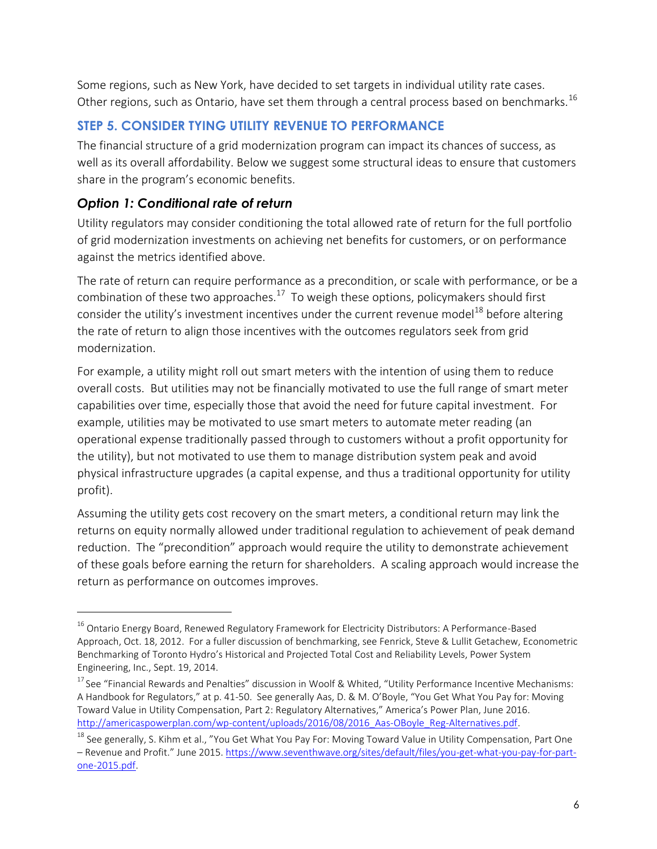Some regions, such as New York, have decided to set targets in individual utility rate cases. Other regions, such as Ontario, have set them through a central process based on benchmarks.<sup>16</sup>

# **STEP 5. CONSIDER TYING UTILITY REVENUE TO PERFORMANCE**

The financial structure of a grid modernization program can impact its chances of success, as well as its overall affordability. Below we suggest some structural ideas to ensure that customers share in the program's economic benefits.

# *Option 1: Conditional rate of return*

 $\overline{a}$ 

Utility regulators may consider conditioning the total allowed rate of return for the full portfolio of grid modernization investments on achieving net benefits for customers, or on performance against the metrics identified above.

The rate of return can require performance as a precondition, or scale with performance, or be a combination of these two approaches. $^{17}$  To weigh these options, policymakers should first consider the utility's investment incentives under the current revenue model<sup>18</sup> before altering the rate of return to align those incentives with the outcomes regulators seek from grid modernization.

For example, a utility might roll out smart meters with the intention of using them to reduce overall costs. But utilities may not be financially motivated to use the full range of smart meter capabilities over time, especially those that avoid the need for future capital investment. For example, utilities may be motivated to use smart meters to automate meter reading (an operational expense traditionally passed through to customers without a profit opportunity for the utility), but not motivated to use them to manage distribution system peak and avoid physical infrastructure upgrades (a capital expense, and thus a traditional opportunity for utility profit).

Assuming the utility gets cost recovery on the smart meters, a conditional return may link the returns on equity normally allowed under traditional regulation to achievement of peak demand reduction. The "precondition" approach would require the utility to demonstrate achievement of these goals before earning the return for shareholders. A scaling approach would increase the return as performance on outcomes improves.

<sup>&</sup>lt;sup>16</sup> Ontario Energy Board, Renewed Regulatory Framework for Electricity Distributors: A Performance-Based Approach, Oct. 18, 2012. For a fuller discussion of benchmarking, see Fenrick, Steve & Lullit Getachew, Econometric Benchmarking of Toronto Hydro's Historical and Projected Total Cost and Reliability Levels, Power System Engineering, Inc., Sept. 19, 2014.

 $17$  See "Financial Rewards and Penalties" discussion in Woolf & Whited, "Utility Performance Incentive Mechanisms: A Handbook for Regulators," at p. 41-50. See generally Aas, D. & M. O'Boyle, "You Get What You Pay for: Moving Toward Value in Utility Compensation, Part 2: Regulatory Alternatives," America's Power Plan, June 2016. [http://americaspowerplan.com/wp-content/uploads/2016/08/2016\\_Aas-OBoyle\\_Reg-Alternatives.pdf.](http://americaspowerplan.com/wp-content/uploads/2016/08/2016_Aas-OBoyle_Reg-Alternatives.pdf)

<sup>&</sup>lt;sup>18</sup> See generally, S. Kihm et al., "You Get What You Pay For: Moving Toward Value in Utility Compensation, Part One – Revenue and Profit." June 2015[. https://www.seventhwave.org/sites/default/files/you-get-what-you-pay-for-part](https://www.seventhwave.org/sites/default/files/you-get-what-you-pay-for-part-one-2015.pdf)[one-2015.pdf.](https://www.seventhwave.org/sites/default/files/you-get-what-you-pay-for-part-one-2015.pdf)